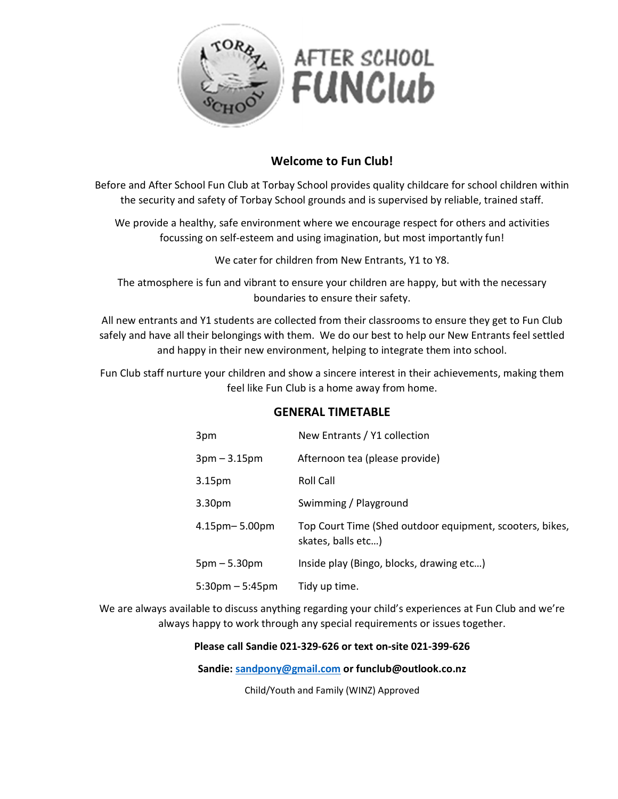

# Welcome to Fun Club!

Before and After School Fun Club at Torbay School provides quality childcare for school children within the security and safety of Torbay School grounds and is supervised by reliable, trained staff.

We provide a healthy, safe environment where we encourage respect for others and activities focussing on self-esteem and using imagination, but most importantly fun!

We cater for children from New Entrants, Y1 to Y8.

The atmosphere is fun and vibrant to ensure your children are happy, but with the necessary boundaries to ensure their safety.

All new entrants and Y1 students are collected from their classrooms to ensure they get to Fun Club safely and have all their belongings with them. We do our best to help our New Entrants feel settled and happy in their new environment, helping to integrate them into school.

Fun Club staff nurture your children and show a sincere interest in their achievements, making them feel like Fun Club is a home away from home.

## GENERAL TIMETABLE

| 3pm             | New Entrants / Y1 collection                                                   |
|-----------------|--------------------------------------------------------------------------------|
| $3pm - 3.15pm$  | Afternoon tea (please provide)                                                 |
| 3.15pm          | Roll Call                                                                      |
| 3.30pm          | Swimming / Playground                                                          |
| 4.15pm– 5.00pm  | Top Court Time (Shed outdoor equipment, scooters, bikes,<br>skates, balls etc) |
| $5pm - 5.30pm$  | Inside play (Bingo, blocks, drawing etc)                                       |
| 5:30pm – 5:45pm | Tidy up time.                                                                  |

We are always available to discuss anything regarding your child's experiences at Fun Club and we're always happy to work through any special requirements or issues together.

#### Please call Sandie 021-329-626 or text on-site 021-399-626

Sandie: sandpony@gmail.com or funclub@outlook.co.nz

Child/Youth and Family (WINZ) Approved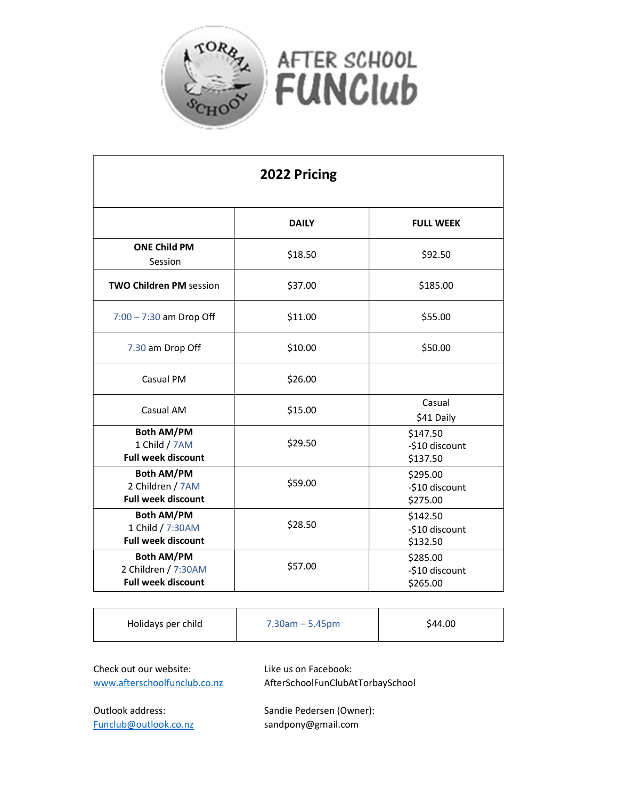

 $\overline{1}$ 

| 2022 Pricing                                                          |              |                                        |  |
|-----------------------------------------------------------------------|--------------|----------------------------------------|--|
|                                                                       | <b>DAILY</b> | <b>FULL WEEK</b>                       |  |
| <b>ONE Child PM</b><br>Session                                        | \$18.50      | \$92.50                                |  |
| <b>TWO Children PM session</b>                                        | \$37.00      | \$185.00                               |  |
| $7:00 - 7:30$ am Drop Off                                             | \$11.00      | \$55.00                                |  |
| 7.30 am Drop Off                                                      | \$10.00      | \$50.00                                |  |
| Casual PM                                                             | \$26.00      |                                        |  |
| Casual AM                                                             | \$15.00      | Casual<br>\$41 Daily                   |  |
| <b>Both AM/PM</b><br>1 Child / 7AM<br><b>Full week discount</b>       | \$29.50      | \$147.50<br>-\$10 discount<br>\$137.50 |  |
| <b>Both AM/PM</b><br>2 Children / 7AM<br><b>Full week discount</b>    | \$59.00      | \$295.00<br>-\$10 discount<br>\$275.00 |  |
| <b>Both AM/PM</b><br>1 Child / 7:30AM<br><b>Full week discount</b>    | \$28.50      | \$142.50<br>-\$10 discount<br>\$132.50 |  |
| <b>Both AM/PM</b><br>2 Children / 7:30AM<br><b>Full week discount</b> | \$57.00      | \$285.00<br>-\$10 discount<br>\$265.00 |  |

| Holidays per child | $7.30$ am $-5.45$ pm | \$44.00 |  |
|--------------------|----------------------|---------|--|
|--------------------|----------------------|---------|--|

| Check out our website:       | Like us on Facebook:             |
|------------------------------|----------------------------------|
| www.afterschoolfunclub.co.nz | AfterSchoolFunClubAtTorbaySchool |
| Outlook address:             | Sandie Pedersen (Owner):         |

Funclub@outlook.co.nz sandpony@gmail.com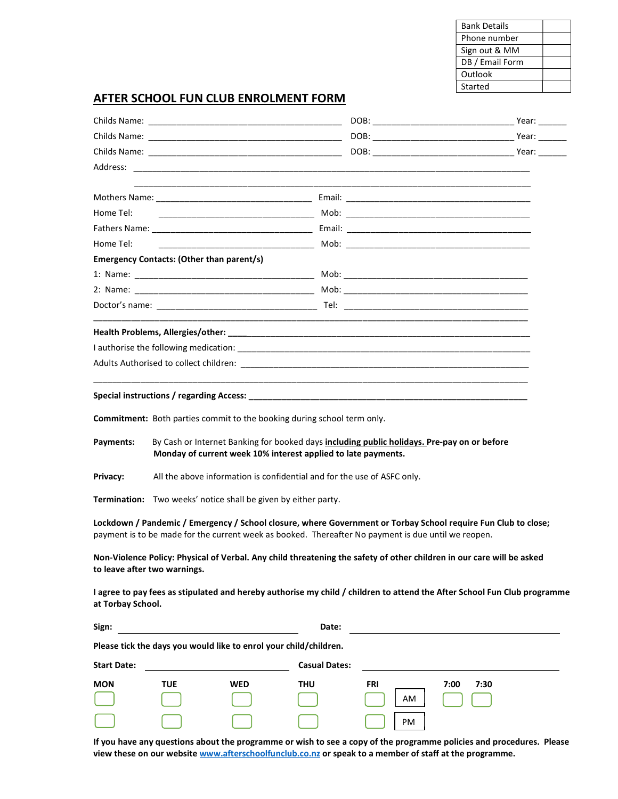| <b>Bank Details</b> |  |
|---------------------|--|
| Phone number        |  |
| Sign out & MM       |  |
| DB / Email Form     |  |
| Outlook             |  |
| Started             |  |

### AFTER SCHOOL FUN CLUB ENROLMENT FORM

| Commitment: Both parties commit to the booking during school term only.<br>By Cash or Internet Banking for booked days including public holidays. Pre-pay on or before<br>Monday of current week 10% interest applied to late payments.<br>All the above information is confidential and for the use of ASFC only.<br>Termination: Two weeks' notice shall be given by either party.<br>Lockdown / Pandemic / Emergency / School closure, where Government or Torbay School require Fun Club to close;<br>payment is to be made for the current week as booked. Thereafter No payment is due until we reopen.<br>Non-Violence Policy: Physical of Verbal. Any child threatening the safety of other children in our care will be asked<br>I agree to pay fees as stipulated and hereby authorise my child / children to attend the After School Fun Club programme<br>at Torbay School.<br>Date:<br>the control of the control of the control of the control of the control of the control of<br>Please tick the days you would like to enrol your child/children.<br><b>Casual Dates:</b><br><b>TUE</b><br><b>WED</b><br>THU<br>FRI<br>7:00<br>7:30<br>AM<br>PM<br>$\sim$ negarangnag ar wish ta saa a samu<br>waanamana nalisias and nuqaaduun |                                           |  |  |
|--------------------------------------------------------------------------------------------------------------------------------------------------------------------------------------------------------------------------------------------------------------------------------------------------------------------------------------------------------------------------------------------------------------------------------------------------------------------------------------------------------------------------------------------------------------------------------------------------------------------------------------------------------------------------------------------------------------------------------------------------------------------------------------------------------------------------------------------------------------------------------------------------------------------------------------------------------------------------------------------------------------------------------------------------------------------------------------------------------------------------------------------------------------------------------------------------------------------------------------------------|-------------------------------------------|--|--|
|                                                                                                                                                                                                                                                                                                                                                                                                                                                                                                                                                                                                                                                                                                                                                                                                                                                                                                                                                                                                                                                                                                                                                                                                                                                  |                                           |  |  |
|                                                                                                                                                                                                                                                                                                                                                                                                                                                                                                                                                                                                                                                                                                                                                                                                                                                                                                                                                                                                                                                                                                                                                                                                                                                  |                                           |  |  |
|                                                                                                                                                                                                                                                                                                                                                                                                                                                                                                                                                                                                                                                                                                                                                                                                                                                                                                                                                                                                                                                                                                                                                                                                                                                  |                                           |  |  |
|                                                                                                                                                                                                                                                                                                                                                                                                                                                                                                                                                                                                                                                                                                                                                                                                                                                                                                                                                                                                                                                                                                                                                                                                                                                  |                                           |  |  |
|                                                                                                                                                                                                                                                                                                                                                                                                                                                                                                                                                                                                                                                                                                                                                                                                                                                                                                                                                                                                                                                                                                                                                                                                                                                  |                                           |  |  |
|                                                                                                                                                                                                                                                                                                                                                                                                                                                                                                                                                                                                                                                                                                                                                                                                                                                                                                                                                                                                                                                                                                                                                                                                                                                  | Home Tel:                                 |  |  |
|                                                                                                                                                                                                                                                                                                                                                                                                                                                                                                                                                                                                                                                                                                                                                                                                                                                                                                                                                                                                                                                                                                                                                                                                                                                  |                                           |  |  |
|                                                                                                                                                                                                                                                                                                                                                                                                                                                                                                                                                                                                                                                                                                                                                                                                                                                                                                                                                                                                                                                                                                                                                                                                                                                  | Home Tel:                                 |  |  |
|                                                                                                                                                                                                                                                                                                                                                                                                                                                                                                                                                                                                                                                                                                                                                                                                                                                                                                                                                                                                                                                                                                                                                                                                                                                  | Emergency Contacts: (Other than parent/s) |  |  |
|                                                                                                                                                                                                                                                                                                                                                                                                                                                                                                                                                                                                                                                                                                                                                                                                                                                                                                                                                                                                                                                                                                                                                                                                                                                  |                                           |  |  |
|                                                                                                                                                                                                                                                                                                                                                                                                                                                                                                                                                                                                                                                                                                                                                                                                                                                                                                                                                                                                                                                                                                                                                                                                                                                  |                                           |  |  |
|                                                                                                                                                                                                                                                                                                                                                                                                                                                                                                                                                                                                                                                                                                                                                                                                                                                                                                                                                                                                                                                                                                                                                                                                                                                  |                                           |  |  |
|                                                                                                                                                                                                                                                                                                                                                                                                                                                                                                                                                                                                                                                                                                                                                                                                                                                                                                                                                                                                                                                                                                                                                                                                                                                  |                                           |  |  |
|                                                                                                                                                                                                                                                                                                                                                                                                                                                                                                                                                                                                                                                                                                                                                                                                                                                                                                                                                                                                                                                                                                                                                                                                                                                  |                                           |  |  |
|                                                                                                                                                                                                                                                                                                                                                                                                                                                                                                                                                                                                                                                                                                                                                                                                                                                                                                                                                                                                                                                                                                                                                                                                                                                  |                                           |  |  |
|                                                                                                                                                                                                                                                                                                                                                                                                                                                                                                                                                                                                                                                                                                                                                                                                                                                                                                                                                                                                                                                                                                                                                                                                                                                  | Payments:<br>Privacy:                     |  |  |
|                                                                                                                                                                                                                                                                                                                                                                                                                                                                                                                                                                                                                                                                                                                                                                                                                                                                                                                                                                                                                                                                                                                                                                                                                                                  | to leave after two warnings.              |  |  |
|                                                                                                                                                                                                                                                                                                                                                                                                                                                                                                                                                                                                                                                                                                                                                                                                                                                                                                                                                                                                                                                                                                                                                                                                                                                  |                                           |  |  |
|                                                                                                                                                                                                                                                                                                                                                                                                                                                                                                                                                                                                                                                                                                                                                                                                                                                                                                                                                                                                                                                                                                                                                                                                                                                  | Sign:                                     |  |  |
|                                                                                                                                                                                                                                                                                                                                                                                                                                                                                                                                                                                                                                                                                                                                                                                                                                                                                                                                                                                                                                                                                                                                                                                                                                                  |                                           |  |  |
|                                                                                                                                                                                                                                                                                                                                                                                                                                                                                                                                                                                                                                                                                                                                                                                                                                                                                                                                                                                                                                                                                                                                                                                                                                                  | <b>Start Date:</b>                        |  |  |
|                                                                                                                                                                                                                                                                                                                                                                                                                                                                                                                                                                                                                                                                                                                                                                                                                                                                                                                                                                                                                                                                                                                                                                                                                                                  | <b>MON</b>                                |  |  |
|                                                                                                                                                                                                                                                                                                                                                                                                                                                                                                                                                                                                                                                                                                                                                                                                                                                                                                                                                                                                                                                                                                                                                                                                                                                  |                                           |  |  |

 If you have any questions about the programme or wish to see a copy of the programme policies and procedures. Please view these on our website www.afterschoolfunclub.co.nz or speak to a member of staff at the programme.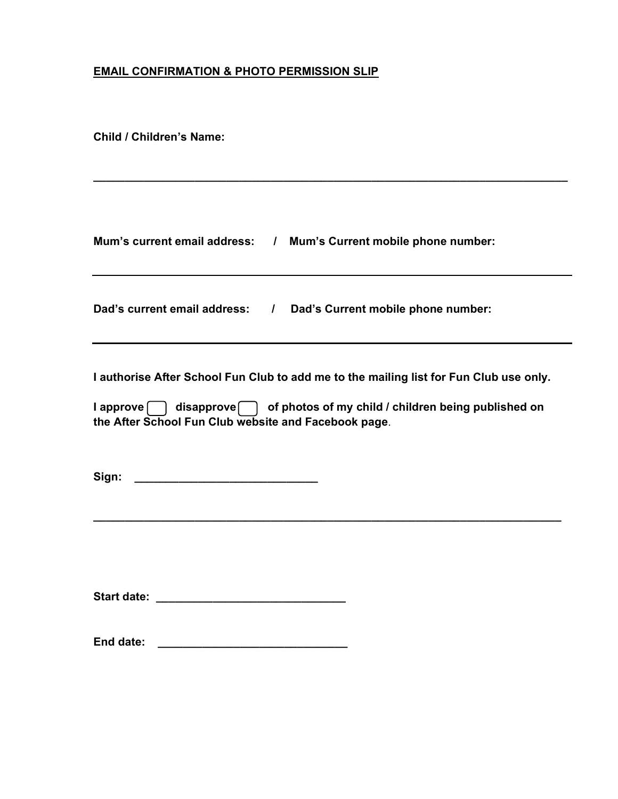## EMAIL CONFIRMATION & PHOTO PERMISSION SLIP

Child / Children's Name:

| Mum's current email address: / Mum's Current mobile phone number:                                                                                                                                                              |
|--------------------------------------------------------------------------------------------------------------------------------------------------------------------------------------------------------------------------------|
| Dad's current email address: / Dad's Current mobile phone number:                                                                                                                                                              |
| I authorise After School Fun Club to add me to the mailing list for Fun Club use only.<br>I approve   disapprove   of photos of my child / children being published on<br>the After School Fun Club website and Facebook page. |
| Sign:<br><u> 2000 - Jan James James James James James James James James James James James James James James James James Ja</u>                                                                                                 |
| <b>Start date:</b>                                                                                                                                                                                                             |

\_\_\_\_\_\_\_\_\_\_\_\_\_\_\_\_\_\_\_\_\_\_\_\_\_\_\_\_\_\_\_\_\_\_\_\_\_\_\_\_\_\_\_\_\_\_\_\_\_\_\_\_\_\_\_\_\_\_\_\_\_\_\_\_\_\_\_\_\_\_\_\_\_\_\_

End date: \_\_\_\_\_\_\_\_\_\_\_\_\_\_\_\_\_\_\_\_\_\_\_\_\_\_\_\_\_\_